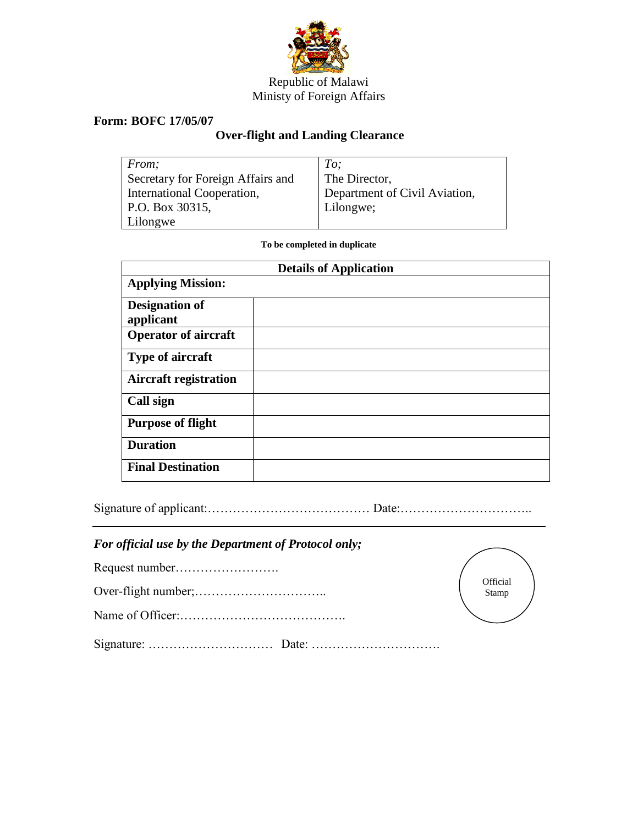

## Republic of Malawi Ministy of Foreign Affairs

## **Form: BOFC 17/05/07**

## **Over-flight and Landing Clearance**

| From;                             | To:                           |
|-----------------------------------|-------------------------------|
| Secretary for Foreign Affairs and | The Director,                 |
| International Cooperation,        | Department of Civil Aviation, |
| P.O. Box 30315,                   | Lilongwe;                     |
| Lilongwe                          |                               |

**To be completed in duplicate**

| <b>Details of Application</b>      |  |  |  |
|------------------------------------|--|--|--|
| <b>Applying Mission:</b>           |  |  |  |
| <b>Designation of</b><br>applicant |  |  |  |
| <b>Operator of aircraft</b>        |  |  |  |
| <b>Type of aircraft</b>            |  |  |  |
| <b>Aircraft registration</b>       |  |  |  |
| Call sign                          |  |  |  |
| <b>Purpose of flight</b>           |  |  |  |
| <b>Duration</b>                    |  |  |  |
| <b>Final Destination</b>           |  |  |  |

Signature of applicant:………………………………… Date:…………………………..

## *For official use by the Department of Protocol only;*

Name of Officer:………………………………….

| Official |  |
|----------|--|
| Stamp    |  |
|          |  |

Signature: ………………………… Date: ………………………….